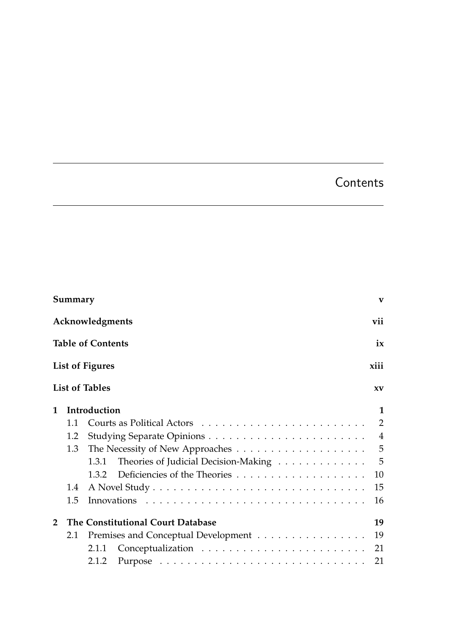## **Contents**

<span id="page-0-0"></span>

| Summary                        |                        |                                               |                |  |  |  |  |  |  |  |
|--------------------------------|------------------------|-----------------------------------------------|----------------|--|--|--|--|--|--|--|
|                                | vii<br>Acknowledgments |                                               |                |  |  |  |  |  |  |  |
| <b>Table of Contents</b><br>ix |                        |                                               |                |  |  |  |  |  |  |  |
|                                |                        | <b>List of Figures</b>                        | xiii           |  |  |  |  |  |  |  |
|                                |                        | <b>List of Tables</b>                         | XV             |  |  |  |  |  |  |  |
| 1                              |                        | Introduction                                  | $\mathbf{1}$   |  |  |  |  |  |  |  |
|                                | 1.1                    |                                               | $\overline{2}$ |  |  |  |  |  |  |  |
|                                | 1.2                    |                                               | $\overline{4}$ |  |  |  |  |  |  |  |
|                                | 1.3                    |                                               | $\overline{5}$ |  |  |  |  |  |  |  |
|                                |                        | Theories of Judicial Decision-Making<br>1.3.1 | -5             |  |  |  |  |  |  |  |
|                                |                        | 1.3.2                                         | 10             |  |  |  |  |  |  |  |
|                                | 1.4                    |                                               | 15             |  |  |  |  |  |  |  |
|                                | 1.5                    |                                               | 16             |  |  |  |  |  |  |  |
| $\mathcal{D}$                  |                        | The Constitutional Court Database             | 19             |  |  |  |  |  |  |  |
|                                | 2.1                    | Premises and Conceptual Development           | 19             |  |  |  |  |  |  |  |
|                                |                        | 2.1.1                                         | 21             |  |  |  |  |  |  |  |
|                                |                        | 2.1.2                                         | 21             |  |  |  |  |  |  |  |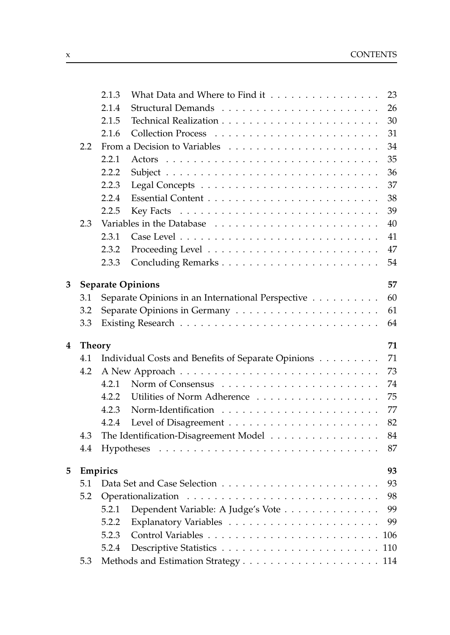|   |               | 2.1.3                          | What Data and Where to Find it                     | 23  |  |  |  |  |  |  |  |
|---|---------------|--------------------------------|----------------------------------------------------|-----|--|--|--|--|--|--|--|
|   |               | 2.1.4                          |                                                    | 26  |  |  |  |  |  |  |  |
|   |               | 2.1.5                          |                                                    | 30  |  |  |  |  |  |  |  |
|   |               | 2.1.6                          |                                                    | 31  |  |  |  |  |  |  |  |
|   | 2.2           |                                |                                                    | 34  |  |  |  |  |  |  |  |
|   |               | 2.2.1                          | Actors                                             | 35  |  |  |  |  |  |  |  |
|   |               | 2.2.2                          |                                                    | 36  |  |  |  |  |  |  |  |
|   |               | 2.2.3                          |                                                    | 37  |  |  |  |  |  |  |  |
|   |               | 2.2.4                          |                                                    | 38  |  |  |  |  |  |  |  |
|   |               | 2.2.5                          |                                                    | 39  |  |  |  |  |  |  |  |
|   | 2.3           |                                |                                                    | 40  |  |  |  |  |  |  |  |
|   |               | 2.3.1                          |                                                    | 41  |  |  |  |  |  |  |  |
|   |               | 2.3.2                          |                                                    | 47  |  |  |  |  |  |  |  |
|   |               | 2.3.3                          |                                                    | 54  |  |  |  |  |  |  |  |
| 3 |               | 57<br><b>Separate Opinions</b> |                                                    |     |  |  |  |  |  |  |  |
|   | 3.1           |                                | Separate Opinions in an International Perspective  | 60  |  |  |  |  |  |  |  |
|   | 3.2           |                                |                                                    | 61  |  |  |  |  |  |  |  |
|   | 3.3           |                                |                                                    | 64  |  |  |  |  |  |  |  |
| 4 | <b>Theory</b> |                                |                                                    | 71  |  |  |  |  |  |  |  |
|   | 4.1           |                                | Individual Costs and Benefits of Separate Opinions | 71  |  |  |  |  |  |  |  |
|   | 4.2           |                                |                                                    | 73  |  |  |  |  |  |  |  |
|   |               | 4.2.1                          |                                                    | 74  |  |  |  |  |  |  |  |
|   |               | 4.2.2                          | Utilities of Norm Adherence                        | 75  |  |  |  |  |  |  |  |
|   |               | 4.2.3                          |                                                    | 77  |  |  |  |  |  |  |  |
|   |               | 4.2.4                          |                                                    | 82  |  |  |  |  |  |  |  |
|   | 4.3           |                                | The Identification-Disagreement Model              | 84  |  |  |  |  |  |  |  |
|   | 4.4           |                                |                                                    | 87  |  |  |  |  |  |  |  |
| 5 |               | Empirics                       |                                                    | 93  |  |  |  |  |  |  |  |
|   | 5.1           |                                |                                                    | 93  |  |  |  |  |  |  |  |
|   | 5.2           |                                |                                                    | 98  |  |  |  |  |  |  |  |
|   |               | 5.2.1                          | Dependent Variable: A Judge's Vote                 | 99  |  |  |  |  |  |  |  |
|   |               | 5.2.2                          |                                                    | 99  |  |  |  |  |  |  |  |
|   |               | 5.2.3                          |                                                    | 106 |  |  |  |  |  |  |  |
|   |               | 5.2.4                          |                                                    | 110 |  |  |  |  |  |  |  |
|   | 5.3           |                                |                                                    |     |  |  |  |  |  |  |  |